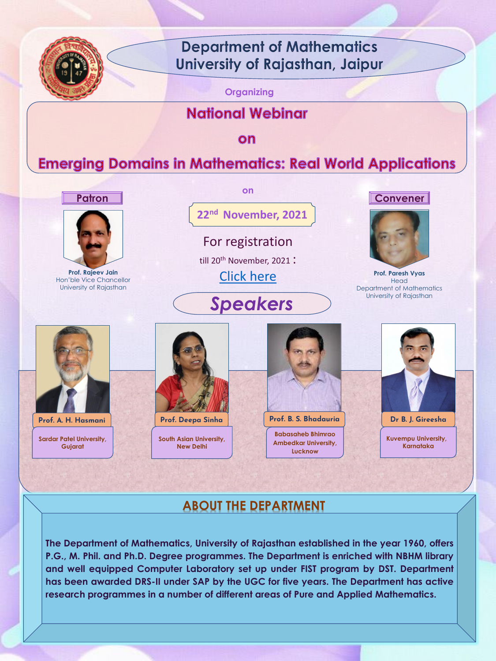

## **Department of Mathematics** University of Rajasthan, Jaipur

**Organizing**

## **National Webinar**

on

## **Emerging Domains in Mathematics: Real World Applications**



**22nd November, 2021**

**on**

For registration

till 20<sup>th</sup> November, 2021:

[Click here](https://docs.google.com/forms/d/1h_371xPUwliL9-FqKtuJ53l8URXTIPLb0cgzX2Yc0VQ/edit)



**Prof. Rajeev Jain**  Hon'ble Vice Chancellor University of Rajasthan



**Prof. Paresh Vyas Head** Department of Mathematics





#### **Patron Convener**

**The Department of Mathematics, University of Rajasthan established in the year 1960, offers P.G., M. Phil. and Ph.D. Degree programmes. The Department is enriched with NBHM library and well equipped Computer Laboratory set up under FIST program by DST. Department has been awarded DRS-II under SAP by the UGC for five years. The Department has active research programmes in a number of different areas of Pure and Applied Mathematics.**

**Prof. A. H. Hasmani Prof. Deepa Sinha Prof. B. S. Bhadauria Dr B. J. Gireesha**

**Sardar Patel University, Gujarat** 



**Kuvempu University, Karnataka**

**South Asian University, New Delhi**



**Babasaheb Bhimrao Ambedkar University, Lucknow**



### **ABOUT THE DEPARTMENT**